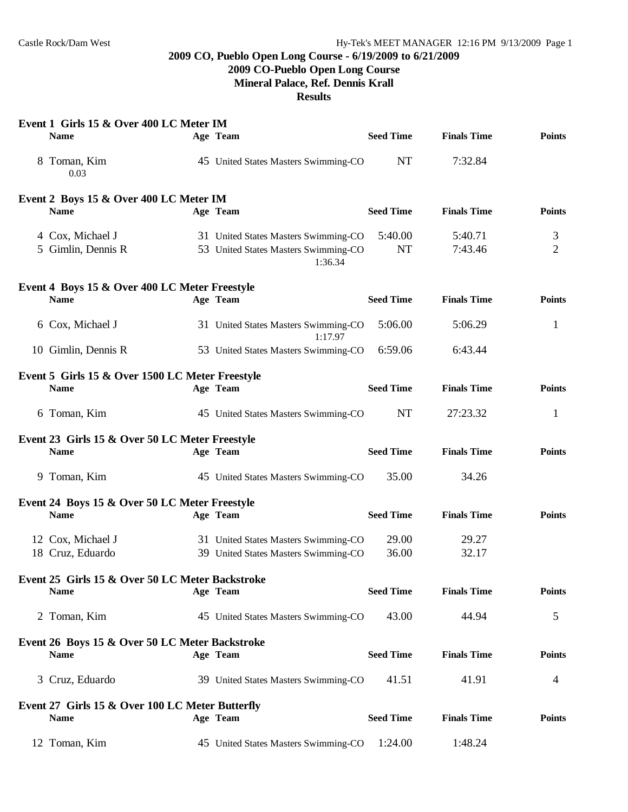### **2009 CO, Pueblo Open Long Course - 6/19/2009 to 6/21/2009**

# **2009 CO-Pueblo Open Long Course**

**Mineral Palace, Ref. Dennis Krall**

#### **Results**

| Event 1 Girls 15 & Over 400 LC Meter IM         |                                                 |                  |                    |                |
|-------------------------------------------------|-------------------------------------------------|------------------|--------------------|----------------|
| <b>Name</b>                                     | Age Team                                        | <b>Seed Time</b> | <b>Finals Time</b> | <b>Points</b>  |
| 8 Toman, Kim<br>0.03                            | 45 United States Masters Swimming-CO            | <b>NT</b>        | 7:32.84            |                |
| Event 2 Boys 15 & Over 400 LC Meter IM          |                                                 |                  |                    |                |
| <b>Name</b>                                     | Age Team                                        | <b>Seed Time</b> | <b>Finals Time</b> | <b>Points</b>  |
| 4 Cox, Michael J                                | 31 United States Masters Swimming-CO            | 5:40.00          | 5:40.71            | 3              |
| 5 Gimlin, Dennis R                              | 53 United States Masters Swimming-CO<br>1:36.34 | <b>NT</b>        | 7:43.46            | $\overline{2}$ |
| Event 4 Boys 15 & Over 400 LC Meter Freestyle   |                                                 |                  |                    |                |
| <b>Name</b>                                     | Age Team                                        | <b>Seed Time</b> | <b>Finals Time</b> | <b>Points</b>  |
| 6 Cox, Michael J                                | 31 United States Masters Swimming-CO<br>1:17.97 | 5:06.00          | 5:06.29            | $\mathbf{1}$   |
| 10 Gimlin, Dennis R                             | 53 United States Masters Swimming-CO            | 6:59.06          | 6:43.44            |                |
| Event 5 Girls 15 & Over 1500 LC Meter Freestyle |                                                 |                  |                    |                |
| <b>Name</b>                                     | Age Team                                        | <b>Seed Time</b> | <b>Finals Time</b> | <b>Points</b>  |
| 6 Toman, Kim                                    | 45 United States Masters Swimming-CO            | <b>NT</b>        | 27:23.32           | $\mathbf{1}$   |
| Event 23 Girls 15 & Over 50 LC Meter Freestyle  |                                                 |                  |                    |                |
| <b>Name</b>                                     | Age Team                                        | <b>Seed Time</b> | <b>Finals Time</b> | <b>Points</b>  |
| 9 Toman, Kim                                    | 45 United States Masters Swimming-CO            | 35.00            | 34.26              |                |
| Event 24 Boys 15 & Over 50 LC Meter Freestyle   |                                                 |                  |                    |                |
| <b>Name</b>                                     | Age Team                                        | <b>Seed Time</b> | <b>Finals Time</b> | <b>Points</b>  |
| 12 Cox, Michael J                               | 31 United States Masters Swimming-CO            | 29.00            | 29.27              |                |
| 18 Cruz, Eduardo                                | 39 United States Masters Swimming-CO            | 36.00            | 32.17              |                |
| Event 25 Girls 15 & Over 50 LC Meter Backstroke |                                                 |                  |                    |                |
| <b>Name</b>                                     | Age Team                                        | <b>Seed Time</b> | <b>Finals Time</b> | <b>Points</b>  |
| 2 Toman, Kim                                    | 45 United States Masters Swimming-CO            | 43.00            | 44.94              | 5              |
| Event 26 Boys 15 & Over 50 LC Meter Backstroke  |                                                 |                  |                    |                |
| <b>Name</b>                                     | Age Team                                        | <b>Seed Time</b> | <b>Finals Time</b> | <b>Points</b>  |
| 3 Cruz, Eduardo                                 | 39 United States Masters Swimming-CO            | 41.51            | 41.91              | 4              |
| Event 27 Girls 15 & Over 100 LC Meter Butterfly |                                                 |                  |                    |                |
| Name                                            | Age Team                                        | <b>Seed Time</b> | <b>Finals Time</b> | <b>Points</b>  |
| 12 Toman, Kim                                   | 45 United States Masters Swimming-CO            | 1:24.00          | 1:48.24            |                |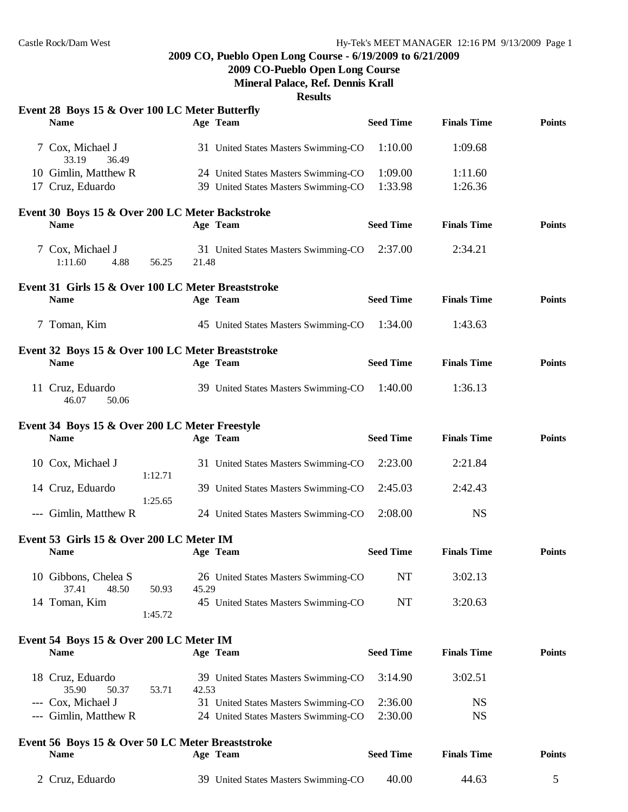#### **2009 CO, Pueblo Open Long Course - 6/19/2009 to 6/21/2009**

**2009 CO-Pueblo Open Long Course**

**Mineral Palace, Ref. Dennis Krall**

**Results**

| Event 28 Boys 15 & Over 100 LC Meter Butterfly<br><b>Name</b>    |         |       | Age Team                             | <b>Seed Time</b> | <b>Finals Time</b> | <b>Points</b> |
|------------------------------------------------------------------|---------|-------|--------------------------------------|------------------|--------------------|---------------|
| 7 Cox, Michael J<br>33.19<br>36.49                               |         |       | 31 United States Masters Swimming-CO | 1:10.00          | 1:09.68            |               |
| 10 Gimlin, Matthew R                                             |         |       | 24 United States Masters Swimming-CO | 1:09.00          | 1:11.60            |               |
| 17 Cruz, Eduardo                                                 |         |       | 39 United States Masters Swimming-CO | 1:33.98          | 1:26.36            |               |
| Event 30 Boys 15 & Over 200 LC Meter Backstroke                  |         |       |                                      |                  |                    |               |
| <b>Name</b>                                                      |         |       | Age Team                             | <b>Seed Time</b> | <b>Finals Time</b> | <b>Points</b> |
| 7 Cox, Michael J<br>1:11.60<br>4.88                              | 56.25   | 21.48 | 31 United States Masters Swimming-CO | 2:37.00          | 2:34.21            |               |
| Event 31 Girls 15 & Over 100 LC Meter Breaststroke               |         |       |                                      |                  |                    |               |
| <b>Name</b>                                                      |         |       | Age Team                             | <b>Seed Time</b> | <b>Finals Time</b> | <b>Points</b> |
| 7 Toman, Kim                                                     |         |       | 45 United States Masters Swimming-CO | 1:34.00          | 1:43.63            |               |
| Event 32 Boys 15 & Over 100 LC Meter Breaststroke<br><b>Name</b> |         |       | Age Team                             | <b>Seed Time</b> | <b>Finals Time</b> | <b>Points</b> |
| 11 Cruz, Eduardo<br>46.07<br>50.06                               |         |       | 39 United States Masters Swimming-CO | 1:40.00          | 1:36.13            |               |
| Event 34 Boys 15 & Over 200 LC Meter Freestyle<br><b>Name</b>    |         |       | Age Team                             | <b>Seed Time</b> | <b>Finals Time</b> | <b>Points</b> |
| 10 Cox, Michael J                                                | 1:12.71 |       | 31 United States Masters Swimming-CO | 2:23.00          | 2:21.84            |               |
| 14 Cruz, Eduardo                                                 | 1:25.65 |       | 39 United States Masters Swimming-CO | 2:45.03          | 2:42.43            |               |
| --- Gimlin, Matthew R                                            |         |       | 24 United States Masters Swimming-CO | 2:08.00          | <b>NS</b>          |               |
| Event 53 Girls 15 & Over 200 LC Meter IM                         |         |       |                                      |                  |                    |               |
| <b>Name</b>                                                      |         |       | Age Team                             | <b>Seed Time</b> | <b>Finals Time</b> | <b>Points</b> |
| 10 Gibbons, Chelea S<br>37.41<br>48.50                           | 50.93   | 45.29 | 26 United States Masters Swimming-CO | NT               | 3:02.13            |               |
| 14 Toman, Kim                                                    | 1:45.72 |       | 45 United States Masters Swimming-CO | NT               | 3:20.63            |               |
|                                                                  |         |       |                                      |                  |                    |               |
| Event 54 Boys 15 & Over 200 LC Meter IM<br><b>Name</b>           |         |       | Age Team                             | <b>Seed Time</b> | <b>Finals Time</b> | <b>Points</b> |
| 18 Cruz, Eduardo<br>35.90<br>50.37                               | 53.71   | 42.53 | 39 United States Masters Swimming-CO | 3:14.90          | 3:02.51            |               |
| --- Cox, Michael J                                               |         |       | 31 United States Masters Swimming-CO | 2:36.00          | <b>NS</b>          |               |
| --- Gimlin, Matthew R                                            |         |       | 24 United States Masters Swimming-CO | 2:30.00          | <b>NS</b>          |               |
| Event 56 Boys 15 & Over 50 LC Meter Breaststroke                 |         |       |                                      |                  |                    |               |
| Name                                                             |         |       | Age Team                             | <b>Seed Time</b> | <b>Finals Time</b> | <b>Points</b> |
| 2 Cruz, Eduardo                                                  |         |       | 39 United States Masters Swimming-CO | 40.00            | 44.63              | 5             |